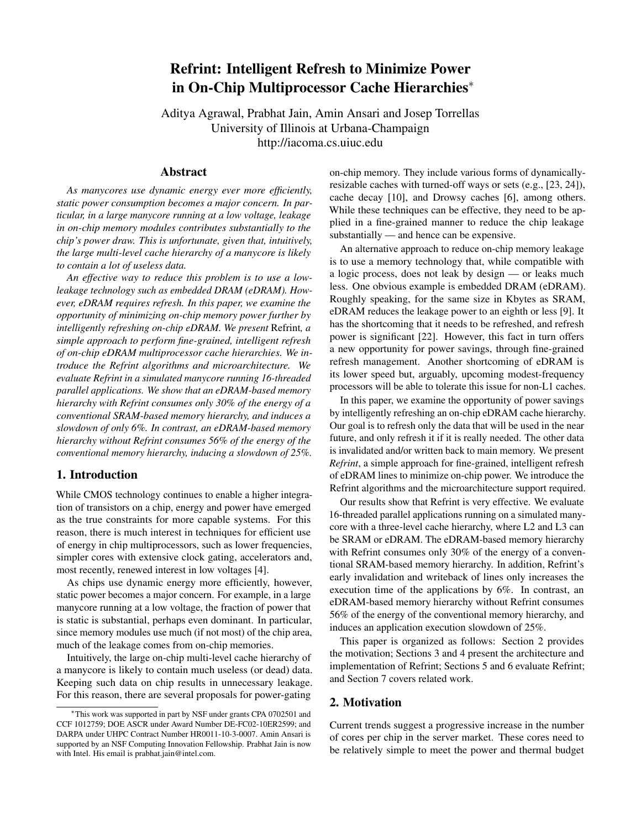# Refrint: Intelligent Refresh to Minimize Power in On-Chip Multiprocessor Cache Hierarchies<sup>∗</sup>

Aditya Agrawal, Prabhat Jain, Amin Ansari and Josep Torrellas University of Illinois at Urbana-Champaign http://iacoma.cs.uiuc.edu

## Abstract

*As manycores use dynamic energy ever more efficiently, static power consumption becomes a major concern. In particular, in a large manycore running at a low voltage, leakage in on-chip memory modules contributes substantially to the chip's power draw. This is unfortunate, given that, intuitively, the large multi-level cache hierarchy of a manycore is likely to contain a lot of useless data.*

*An effective way to reduce this problem is to use a lowleakage technology such as embedded DRAM (eDRAM). However, eDRAM requires refresh. In this paper, we examine the opportunity of minimizing on-chip memory power further by intelligently refreshing on-chip eDRAM. We present* Refrint*, a simple approach to perform fine-grained, intelligent refresh of on-chip eDRAM multiprocessor cache hierarchies. We introduce the Refrint algorithms and microarchitecture. We evaluate Refrint in a simulated manycore running 16-threaded parallel applications. We show that an eDRAM-based memory hierarchy with Refrint consumes only 30% of the energy of a conventional SRAM-based memory hierarchy, and induces a slowdown of only 6%. In contrast, an eDRAM-based memory hierarchy without Refrint consumes 56% of the energy of the conventional memory hierarchy, inducing a slowdown of 25%.*

## 1. Introduction

While CMOS technology continues to enable a higher integration of transistors on a chip, energy and power have emerged as the true constraints for more capable systems. For this reason, there is much interest in techniques for efficient use of energy in chip multiprocessors, such as lower frequencies, simpler cores with extensive clock gating, accelerators and, most recently, renewed interest in low voltages [4].

As chips use dynamic energy more efficiently, however, static power becomes a major concern. For example, in a large manycore running at a low voltage, the fraction of power that is static is substantial, perhaps even dominant. In particular, since memory modules use much (if not most) of the chip area, much of the leakage comes from on-chip memories.

Intuitively, the large on-chip multi-level cache hierarchy of a manycore is likely to contain much useless (or dead) data. Keeping such data on chip results in unnecessary leakage. For this reason, there are several proposals for power-gating

on-chip memory. They include various forms of dynamicallyresizable caches with turned-off ways or sets (e.g., [23, 24]), cache decay [10], and Drowsy caches [6], among others. While these techniques can be effective, they need to be applied in a fine-grained manner to reduce the chip leakage substantially — and hence can be expensive.

An alternative approach to reduce on-chip memory leakage is to use a memory technology that, while compatible with a logic process, does not leak by design — or leaks much less. One obvious example is embedded DRAM (eDRAM). Roughly speaking, for the same size in Kbytes as SRAM, eDRAM reduces the leakage power to an eighth or less [9]. It has the shortcoming that it needs to be refreshed, and refresh power is significant [22]. However, this fact in turn offers a new opportunity for power savings, through fine-grained refresh management. Another shortcoming of eDRAM is its lower speed but, arguably, upcoming modest-frequency processors will be able to tolerate this issue for non-L1 caches.

In this paper, we examine the opportunity of power savings by intelligently refreshing an on-chip eDRAM cache hierarchy. Our goal is to refresh only the data that will be used in the near future, and only refresh it if it is really needed. The other data is invalidated and/or written back to main memory. We present *Refrint*, a simple approach for fine-grained, intelligent refresh of eDRAM lines to minimize on-chip power. We introduce the Refrint algorithms and the microarchitecture support required.

Our results show that Refrint is very effective. We evaluate 16-threaded parallel applications running on a simulated manycore with a three-level cache hierarchy, where L2 and L3 can be SRAM or eDRAM. The eDRAM-based memory hierarchy with Refrint consumes only 30% of the energy of a conventional SRAM-based memory hierarchy. In addition, Refrint's early invalidation and writeback of lines only increases the execution time of the applications by 6%. In contrast, an eDRAM-based memory hierarchy without Refrint consumes 56% of the energy of the conventional memory hierarchy, and induces an application execution slowdown of 25%.

This paper is organized as follows: Section 2 provides the motivation; Sections 3 and 4 present the architecture and implementation of Refrint; Sections 5 and 6 evaluate Refrint; and Section 7 covers related work.

# 2. Motivation

Current trends suggest a progressive increase in the number of cores per chip in the server market. These cores need to be relatively simple to meet the power and thermal budget

<sup>∗</sup>This work was supported in part by NSF under grants CPA 0702501 and CCF 1012759; DOE ASCR under Award Number DE-FC02-10ER2599; and DARPA under UHPC Contract Number HR0011-10-3-0007. Amin Ansari is supported by an NSF Computing Innovation Fellowship. Prabhat Jain is now with Intel. His email is prabhat.jain@intel.com.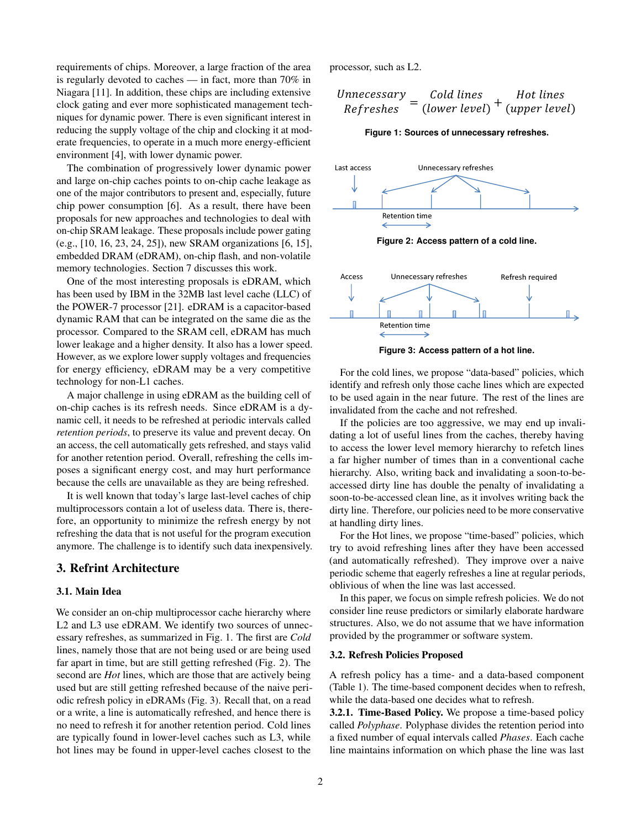requirements of chips. Moreover, a large fraction of the area is regularly devoted to caches — in fact, more than 70% in Niagara [11]. In addition, these chips are including extensive clock gating and ever more sophisticated management techniques for dynamic power. There is even significant interest in reducing the supply voltage of the chip and clocking it at moderate frequencies, to operate in a much more energy-efficient environment [4], with lower dynamic power.

The combination of progressively lower dynamic power and large on-chip caches points to on-chip cache leakage as one of the major contributors to present and, especially, future chip power consumption [6]. As a result, there have been proposals for new approaches and technologies to deal with on-chip SRAM leakage. These proposals include power gating (e.g., [10, 16, 23, 24, 25]), new SRAM organizations [6, 15], embedded DRAM (eDRAM), on-chip flash, and non-volatile memory technologies. Section 7 discusses this work.

One of the most interesting proposals is eDRAM, which has been used by IBM in the 32MB last level cache (LLC) of the POWER-7 processor [21]. eDRAM is a capacitor-based dynamic RAM that can be integrated on the same die as the processor. Compared to the SRAM cell, eDRAM has much lower leakage and a higher density. It also has a lower speed. However, as we explore lower supply voltages and frequencies for energy efficiency, eDRAM may be a very competitive technology for non-L1 caches.

A major challenge in using eDRAM as the building cell of on-chip caches is its refresh needs. Since eDRAM is a dynamic cell, it needs to be refreshed at periodic intervals called *retention periods*, to preserve its value and prevent decay. On an access, the cell automatically gets refreshed, and stays valid for another retention period. Overall, refreshing the cells imposes a significant energy cost, and may hurt performance because the cells are unavailable as they are being refreshed.

It is well known that today's large last-level caches of chip multiprocessors contain a lot of useless data. There is, therefore, an opportunity to minimize the refresh energy by not refreshing the data that is not useful for the program execution anymore. The challenge is to identify such data inexpensively.

# 3. Refrint Architecture

#### 3.1. Main Idea

We consider an on-chip multiprocessor cache hierarchy where L2 and L3 use eDRAM. We identify two sources of unnecessary refreshes, as summarized in Fig. 1. The first are *Cold* lines, namely those that are not being used or are being used far apart in time, but are still getting refreshed (Fig. 2). The second are *Hot* lines, which are those that are actively being used but are still getting refreshed because of the naive periodic refresh policy in eDRAMs (Fig. 3). Recall that, on a read or a write, a line is automatically refreshed, and hence there is no need to refresh it for another retention period. Cold lines are typically found in lower-level caches such as L3, while hot lines may be found in upper-level caches closest to the

processor, such as L2.

$$
Unnecessary = Cold linesReferences = (lower level) + (upper level)
$$

**Figure 1: Sources of unnecessary refreshes.**



**Figure 2: Access pattern of a cold line.**



**Figure 3: Access pattern of a hot line.**

For the cold lines, we propose "data-based" policies, which identify and refresh only those cache lines which are expected to be used again in the near future. The rest of the lines are invalidated from the cache and not refreshed.

If the policies are too aggressive, we may end up invalidating a lot of useful lines from the caches, thereby having to access the lower level memory hierarchy to refetch lines a far higher number of times than in a conventional cache hierarchy. Also, writing back and invalidating a soon-to-beaccessed dirty line has double the penalty of invalidating a soon-to-be-accessed clean line, as it involves writing back the dirty line. Therefore, our policies need to be more conservative at handling dirty lines.

For the Hot lines, we propose "time-based" policies, which try to avoid refreshing lines after they have been accessed (and automatically refreshed). They improve over a naive periodic scheme that eagerly refreshes a line at regular periods, oblivious of when the line was last accessed.

In this paper, we focus on simple refresh policies. We do not consider line reuse predictors or similarly elaborate hardware structures. Also, we do not assume that we have information provided by the programmer or software system.

#### 3.2. Refresh Policies Proposed

A refresh policy has a time- and a data-based component (Table 1). The time-based component decides when to refresh, while the data-based one decides what to refresh.

3.2.1. Time-Based Policy. We propose a time-based policy called *Polyphase*. Polyphase divides the retention period into a fixed number of equal intervals called *Phases*. Each cache line maintains information on which phase the line was last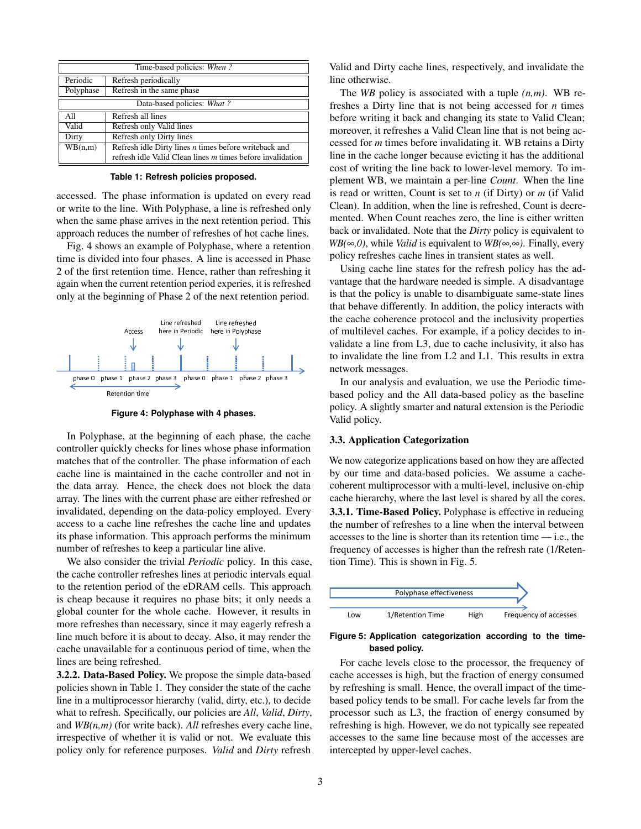| Time-based policies: When? |                                                                                                                          |  |
|----------------------------|--------------------------------------------------------------------------------------------------------------------------|--|
| Periodic                   | Refresh periodically                                                                                                     |  |
| Polyphase                  | Refresh in the same phase                                                                                                |  |
| Data-based policies: What? |                                                                                                                          |  |
| A11                        | Refresh all lines                                                                                                        |  |
| Valid                      | Refresh only Valid lines                                                                                                 |  |
| Dirty                      | Refresh only Dirty lines                                                                                                 |  |
| WB(n,m)                    | Refresh idle Dirty lines $n$ times before write back and<br>refresh idle Valid Clean lines $m$ times before invalidation |  |

**Table 1: Refresh policies proposed.**

accessed. The phase information is updated on every read or write to the line. With Polyphase, a line is refreshed only when the same phase arrives in the next retention period. This approach reduces the number of refreshes of hot cache lines.

Fig. 4 shows an example of Polyphase, where a retention time is divided into four phases. A line is accessed in Phase 2 of the first retention time. Hence, rather than refreshing it again when the current retention period experies, it is refreshed only at the beginning of Phase 2 of the next retention period.



**Figure 4: Polyphase with 4 phases.**

In Polyphase, at the beginning of each phase, the cache controller quickly checks for lines whose phase information matches that of the controller. The phase information of each cache line is maintained in the cache controller and not in the data array. Hence, the check does not block the data array. The lines with the current phase are either refreshed or invalidated, depending on the data-policy employed. Every access to a cache line refreshes the cache line and updates its phase information. This approach performs the minimum number of refreshes to keep a particular line alive.

We also consider the trivial *Periodic* policy. In this case, the cache controller refreshes lines at periodic intervals equal to the retention period of the eDRAM cells. This approach is cheap because it requires no phase bits; it only needs a global counter for the whole cache. However, it results in more refreshes than necessary, since it may eagerly refresh a line much before it is about to decay. Also, it may render the cache unavailable for a continuous period of time, when the lines are being refreshed.

3.2.2. Data-Based Policy. We propose the simple data-based policies shown in Table 1. They consider the state of the cache line in a multiprocessor hierarchy (valid, dirty, etc.), to decide what to refresh. Specifically, our policies are *All*, *Valid*, *Dirty*, and *WB(n,m)* (for write back). *All* refreshes every cache line, irrespective of whether it is valid or not. We evaluate this policy only for reference purposes. *Valid* and *Dirty* refresh

Valid and Dirty cache lines, respectively, and invalidate the line otherwise.

The *WB* policy is associated with a tuple *(n,m)*. WB refreshes a Dirty line that is not being accessed for *n* times before writing it back and changing its state to Valid Clean; moreover, it refreshes a Valid Clean line that is not being accessed for *m* times before invalidating it. WB retains a Dirty line in the cache longer because evicting it has the additional cost of writing the line back to lower-level memory. To implement WB, we maintain a per-line *Count*. When the line is read or written, Count is set to *n* (if Dirty) or *m* (if Valid Clean). In addition, when the line is refreshed, Count is decremented. When Count reaches zero, the line is either written back or invalidated. Note that the *Dirty* policy is equivalent to *WB*(∞*,0*), while *Valid* is equivalent to *WB*(∞*,*∞). Finally, every policy refreshes cache lines in transient states as well.

Using cache line states for the refresh policy has the advantage that the hardware needed is simple. A disadvantage is that the policy is unable to disambiguate same-state lines that behave differently. In addition, the policy interacts with the cache coherence protocol and the inclusivity properties of multilevel caches. For example, if a policy decides to invalidate a line from L3, due to cache inclusivity, it also has to invalidate the line from L2 and L1. This results in extra network messages.

In our analysis and evaluation, we use the Periodic timebased policy and the All data-based policy as the baseline policy. A slightly smarter and natural extension is the Periodic Valid policy.

#### 3.3. Application Categorization

We now categorize applications based on how they are affected by our time and data-based policies. We assume a cachecoherent multiprocessor with a multi-level, inclusive on-chip cache hierarchy, where the last level is shared by all the cores. 3.3.1. Time-Based Policy. Polyphase is effective in reducing the number of refreshes to a line when the interval between accesses to the line is shorter than its retention time — i.e., the frequency of accesses is higher than the refresh rate (1/Retention Time). This is shown in Fig. 5.



#### **Figure 5: Application categorization according to the timebased policy.**

For cache levels close to the processor, the frequency of cache accesses is high, but the fraction of energy consumed by refreshing is small. Hence, the overall impact of the timebased policy tends to be small. For cache levels far from the processor such as L3, the fraction of energy consumed by refreshing is high. However, we do not typically see repeated accesses to the same line because most of the accesses are intercepted by upper-level caches.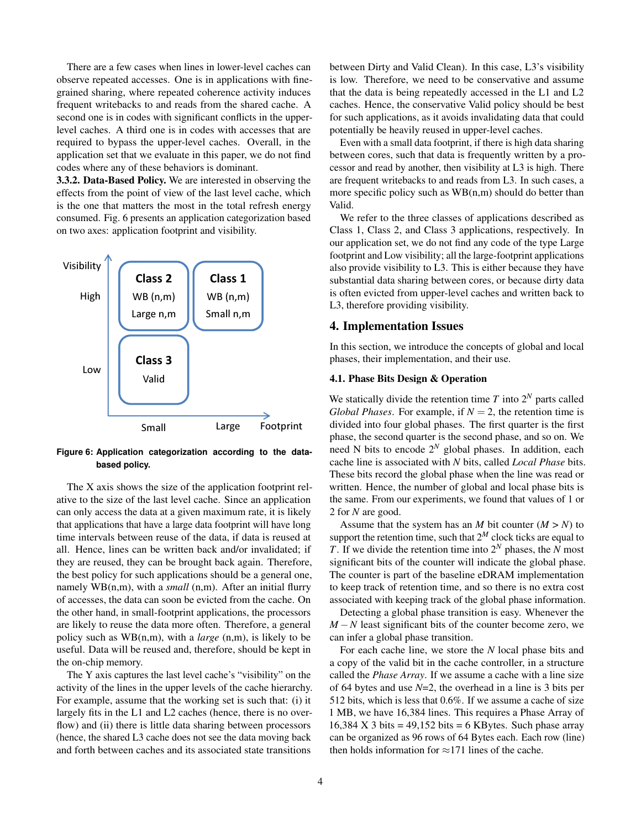There are a few cases when lines in lower-level caches can observe repeated accesses. One is in applications with finegrained sharing, where repeated coherence activity induces frequent writebacks to and reads from the shared cache. A second one is in codes with significant conflicts in the upperlevel caches. A third one is in codes with accesses that are required to bypass the upper-level caches. Overall, in the application set that we evaluate in this paper, we do not find codes where any of these behaviors is dominant.

3.3.2. Data-Based Policy. We are interested in observing the effects from the point of view of the last level cache, which is the one that matters the most in the total refresh energy consumed. Fig. 6 presents an application categorization based on two axes: application footprint and visibility.



**Figure 6: Application categorization according to the databased policy.**

The X axis shows the size of the application footprint relative to the size of the last level cache. Since an application can only access the data at a given maximum rate, it is likely that applications that have a large data footprint will have long time intervals between reuse of the data, if data is reused at all. Hence, lines can be written back and/or invalidated; if they are reused, they can be brought back again. Therefore, the best policy for such applications should be a general one, namely WB(n,m), with a *small* (n,m). After an initial flurry of accesses, the data can soon be evicted from the cache. On the other hand, in small-footprint applications, the processors are likely to reuse the data more often. Therefore, a general policy such as WB(n,m), with a *large* (n,m), is likely to be useful. Data will be reused and, therefore, should be kept in the on-chip memory.

The Y axis captures the last level cache's "visibility" on the activity of the lines in the upper levels of the cache hierarchy. For example, assume that the working set is such that: (i) it largely fits in the L1 and L2 caches (hence, there is no overflow) and (ii) there is little data sharing between processors (hence, the shared L3 cache does not see the data moving back and forth between caches and its associated state transitions

between Dirty and Valid Clean). In this case, L3's visibility is low. Therefore, we need to be conservative and assume that the data is being repeatedly accessed in the L1 and L2 caches. Hence, the conservative Valid policy should be best for such applications, as it avoids invalidating data that could potentially be heavily reused in upper-level caches.

Even with a small data footprint, if there is high data sharing between cores, such that data is frequently written by a processor and read by another, then visibility at L3 is high. There are frequent writebacks to and reads from L3. In such cases, a more specific policy such as WB(n,m) should do better than Valid.

We refer to the three classes of applications described as Class 1, Class 2, and Class 3 applications, respectively. In our application set, we do not find any code of the type Large footprint and Low visibility; all the large-footprint applications also provide visibility to L3. This is either because they have substantial data sharing between cores, or because dirty data is often evicted from upper-level caches and written back to L3, therefore providing visibility.

## 4. Implementation Issues

In this section, we introduce the concepts of global and local phases, their implementation, and their use.

# 4.1. Phase Bits Design & Operation

We statically divide the retention time  $T$  into  $2^N$  parts called *Global Phases.* For example, if  $N = 2$ , the retention time is divided into four global phases. The first quarter is the first phase, the second quarter is the second phase, and so on. We need N bits to encode  $2^N$  global phases. In addition, each cache line is associated with *N* bits, called *Local Phase* bits. These bits record the global phase when the line was read or written. Hence, the number of global and local phase bits is the same. From our experiments, we found that values of 1 or 2 for *N* are good.

Assume that the system has an *M* bit counter  $(M > N)$  to support the retention time, such that  $2^M$  clock ticks are equal to *T*. If we divide the retention time into 2 *<sup>N</sup>* phases, the *N* most significant bits of the counter will indicate the global phase. The counter is part of the baseline eDRAM implementation to keep track of retention time, and so there is no extra cost associated with keeping track of the global phase information.

Detecting a global phase transition is easy. Whenever the *M* − *N* least significant bits of the counter become zero, we can infer a global phase transition.

For each cache line, we store the *N* local phase bits and a copy of the valid bit in the cache controller, in a structure called the *Phase Array*. If we assume a cache with a line size of 64 bytes and use *N*=2, the overhead in a line is 3 bits per 512 bits, which is less that 0.6%. If we assume a cache of size 1 MB, we have 16,384 lines. This requires a Phase Array of 16,384 X 3 bits = 49,152 bits = 6 KBytes. Such phase array can be organized as 96 rows of 64 Bytes each. Each row (line) then holds information for  $\approx$ 171 lines of the cache.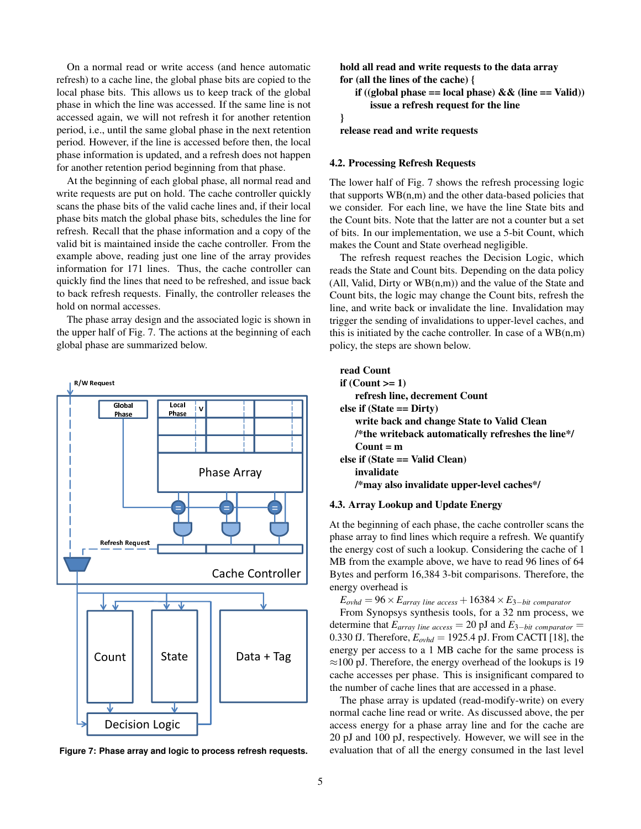On a normal read or write access (and hence automatic refresh) to a cache line, the global phase bits are copied to the local phase bits. This allows us to keep track of the global phase in which the line was accessed. If the same line is not accessed again, we will not refresh it for another retention period, i.e., until the same global phase in the next retention period. However, if the line is accessed before then, the local phase information is updated, and a refresh does not happen for another retention period beginning from that phase.

At the beginning of each global phase, all normal read and write requests are put on hold. The cache controller quickly scans the phase bits of the valid cache lines and, if their local phase bits match the global phase bits, schedules the line for refresh. Recall that the phase information and a copy of the valid bit is maintained inside the cache controller. From the example above, reading just one line of the array provides information for 171 lines. Thus, the cache controller can quickly find the lines that need to be refreshed, and issue back to back refresh requests. Finally, the controller releases the hold on normal accesses.

The phase array design and the associated logic is shown in the upper half of Fig. 7. The actions at the beginning of each global phase are summarized below.



**Figure 7: Phase array and logic to process refresh requests.**

hold all read and write requests to the data array for (all the lines of the cache) {

if ((global phase == local phase)  $&\&$  (line == Valid)) issue a refresh request for the line

# }

release read and write requests

#### 4.2. Processing Refresh Requests

The lower half of Fig. 7 shows the refresh processing logic that supports  $WB(n,m)$  and the other data-based policies that we consider. For each line, we have the line State bits and the Count bits. Note that the latter are not a counter but a set of bits. In our implementation, we use a 5-bit Count, which makes the Count and State overhead negligible.

The refresh request reaches the Decision Logic, which reads the State and Count bits. Depending on the data policy (All, Valid, Dirty or WB(n,m)) and the value of the State and Count bits, the logic may change the Count bits, refresh the line, and write back or invalidate the line. Invalidation may trigger the sending of invalidations to upper-level caches, and this is initiated by the cache controller. In case of a  $WB(n,m)$ policy, the steps are shown below.

## read Count

| if $(Count >= 1)$        |                                                    |
|--------------------------|----------------------------------------------------|
|                          | refresh line, decrement Count                      |
| else if (State == Dirty) |                                                    |
|                          | write back and change State to Valid Clean         |
|                          | /*the writeback automatically refreshes the line*/ |
| $Count = m$              |                                                    |
|                          | else if (State == Valid Clean)                     |
| invalidate               |                                                    |
|                          | /*may also invalidate upper-level caches*/         |

#### 4.3. Array Lookup and Update Energy

At the beginning of each phase, the cache controller scans the phase array to find lines which require a refresh. We quantify the energy cost of such a lookup. Considering the cache of 1 MB from the example above, we have to read 96 lines of 64 Bytes and perform 16,384 3-bit comparisons. Therefore, the energy overhead is

 $E_{ovhd} = 96 \times E_{array$  *line access* + 16384  $\times E_{3-bit}$  *comparator* 

From Synopsys synthesis tools, for a 32 nm process, we determine that  $E_{array \ line \ access} = 20 \text{ pJ}$  and  $E_{3-bit \ comparator} =$ 0.330 fJ. Therefore,  $E_{ovhd} = 1925.4$  pJ. From CACTI [18], the energy per access to a 1 MB cache for the same process is  $\approx$ 100 pJ. Therefore, the energy overhead of the lookups is 19 cache accesses per phase. This is insignificant compared to the number of cache lines that are accessed in a phase.

The phase array is updated (read-modify-write) on every normal cache line read or write. As discussed above, the per access energy for a phase array line and for the cache are 20 pJ and 100 pJ, respectively. However, we will see in the evaluation that of all the energy consumed in the last level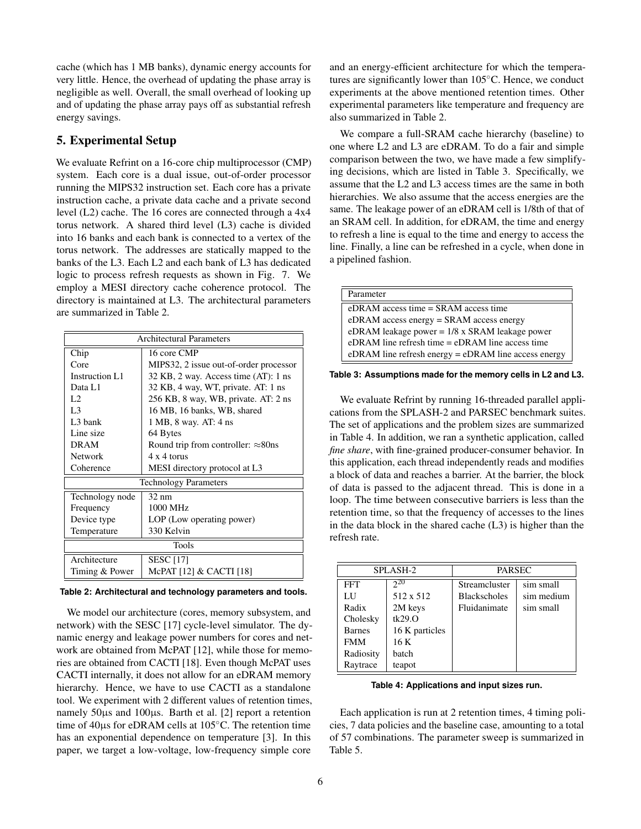cache (which has 1 MB banks), dynamic energy accounts for very little. Hence, the overhead of updating the phase array is negligible as well. Overall, the small overhead of looking up and of updating the phase array pays off as substantial refresh energy savings.

# 5. Experimental Setup

We evaluate Refrint on a 16-core chip multiprocessor (CMP) system. Each core is a dual issue, out-of-order processor running the MIPS32 instruction set. Each core has a private instruction cache, a private data cache and a private second level (L2) cache. The 16 cores are connected through a 4x4 torus network. A shared third level (L3) cache is divided into 16 banks and each bank is connected to a vertex of the torus network. The addresses are statically mapped to the banks of the L3. Each L2 and each bank of L3 has dedicated logic to process refresh requests as shown in Fig. 7. We employ a MESI directory cache coherence protocol. The directory is maintained at L3. The architectural parameters are summarized in Table 2.

| <b>Architectural Parameters</b> |                                             |  |
|---------------------------------|---------------------------------------------|--|
| Chip                            | 16 core CMP                                 |  |
| Core                            | MIPS32, 2 issue out-of-order processor      |  |
| <b>Instruction L1</b>           | 32 KB, 2 way. Access time (AT): 1 ns        |  |
| Data L1                         | 32 KB, 4 way, WT, private. AT: 1 ns         |  |
| L2                              | 256 KB, 8 way, WB, private. AT: 2 ns        |  |
| L <sub>3</sub>                  | 16 MB, 16 banks, WB, shared                 |  |
| L <sub>3</sub> bank             | 1 MB, 8 way. AT: 4 ns                       |  |
| Line size                       | 64 Bytes                                    |  |
| <b>DRAM</b>                     | Round trip from controller: $\approx 80$ ns |  |
| Network                         | $4 \times 4$ torus                          |  |
| Coherence                       | MESI directory protocol at L3               |  |
| <b>Technology Parameters</b>    |                                             |  |
| Technology node                 | $32 \text{ nm}$                             |  |
| Frequency                       | 1000 MHz                                    |  |
| Device type                     | LOP (Low operating power)                   |  |
| Temperature                     | 330 Kelvin                                  |  |
| Tools                           |                                             |  |
| Architecture                    | <b>SESC</b> [17]                            |  |
| Timing & Power                  | McPAT [12] & CACTI [18]                     |  |

**Table 2: Architectural and technology parameters and tools.**

We model our architecture (cores, memory subsystem, and network) with the SESC [17] cycle-level simulator. The dynamic energy and leakage power numbers for cores and network are obtained from McPAT [12], while those for memories are obtained from CACTI [18]. Even though McPAT uses CACTI internally, it does not allow for an eDRAM memory hierarchy. Hence, we have to use CACTI as a standalone tool. We experiment with 2 different values of retention times, namely 50µs and 100µs. Barth et al. [2] report a retention time of 40µs for eDRAM cells at 105◦C. The retention time has an exponential dependence on temperature [3]. In this paper, we target a low-voltage, low-frequency simple core

and an energy-efficient architecture for which the temperatures are significantly lower than 105◦C. Hence, we conduct experiments at the above mentioned retention times. Other experimental parameters like temperature and frequency are also summarized in Table 2.

We compare a full-SRAM cache hierarchy (baseline) to one where L2 and L3 are eDRAM. To do a fair and simple comparison between the two, we have made a few simplifying decisions, which are listed in Table 3. Specifically, we assume that the L2 and L3 access times are the same in both hierarchies. We also assume that the access energies are the same. The leakage power of an eDRAM cell is 1/8th of that of an SRAM cell. In addition, for eDRAM, the time and energy to refresh a line is equal to the time and energy to access the line. Finally, a line can be refreshed in a cycle, when done in a pipelined fashion.

| Parameter                                            |
|------------------------------------------------------|
| $eDRAM$ access time $=$ SRAM access time             |
| $eDRAM$ access energy $=$ SRAM access energy         |
| eDRAM leakage power = $1/8$ x SRAM leakage power     |
| $eDRAM$ line refresh time $= eDRAM$ line access time |
| eDRAM line refresh energy = eDRAM line access energy |

**Table 3: Assumptions made for the memory cells in L2 and L3.**

We evaluate Refrint by running 16-threaded parallel applications from the SPLASH-2 and PARSEC benchmark suites. The set of applications and the problem sizes are summarized in Table 4. In addition, we ran a synthetic application, called *fine share*, with fine-grained producer-consumer behavior. In this application, each thread independently reads and modifies a block of data and reaches a barrier. At the barrier, the block of data is passed to the adjacent thread. This is done in a loop. The time between consecutive barriers is less than the retention time, so that the frequency of accesses to the lines in the data block in the shared cache  $(L3)$  is higher than the refresh rate.

| SPLASH-2      |                | <b>PARSEC</b>       |            |
|---------------|----------------|---------------------|------------|
| <b>FFT</b>    | 20             | Streamcluster       | sim small  |
| LU            | 512 x 512      | <b>Blackscholes</b> | sim medium |
| Radix         | 2M keys        | Fluidanimate        | sim small  |
| Cholesky      | tk29.0         |                     |            |
| <b>Barnes</b> | 16 K particles |                     |            |
| <b>FMM</b>    | 16 K           |                     |            |
| Radiosity     | batch          |                     |            |
| Raytrace      | teapot         |                     |            |

**Table 4: Applications and input sizes run.**

Each application is run at 2 retention times, 4 timing policies, 7 data policies and the baseline case, amounting to a total of 57 combinations. The parameter sweep is summarized in Table 5.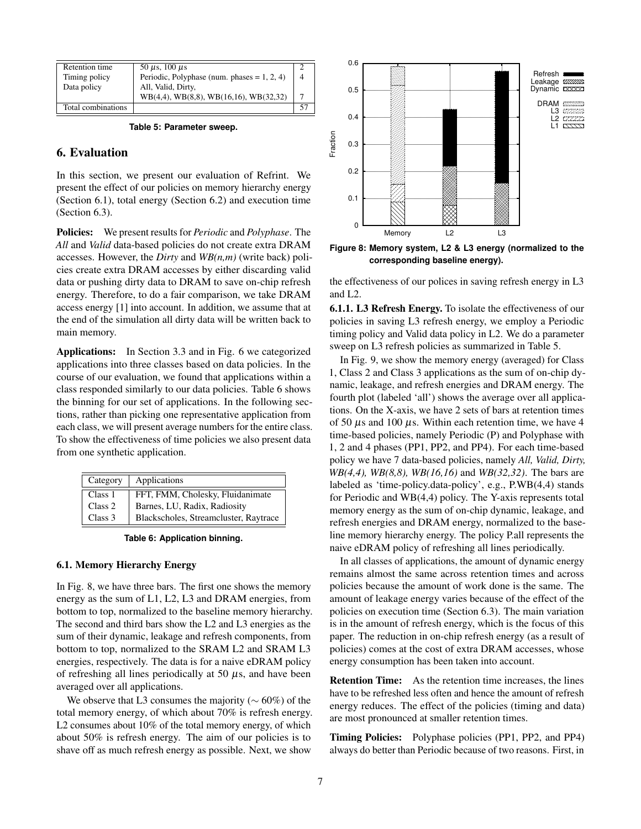| Retention time     | 50 $\mu$ s, 100 $\mu$ s                        |    |
|--------------------|------------------------------------------------|----|
| Timing policy      | Periodic, Polyphase (num. phases = $1, 2, 4$ ) | 4  |
| Data policy        | All, Valid, Dirty,                             |    |
|                    | WB(4,4), WB(8,8), WB(16,16), WB(32,32)         |    |
| Total combinations |                                                | 57 |

#### **Table 5: Parameter sweep.**

# 6. Evaluation

In this section, we present our evaluation of Refrint. We present the effect of our policies on memory hierarchy energy (Section 6.1), total energy (Section 6.2) and execution time (Section 6.3).

Policies: We present results for *Periodic* and *Polyphase*. The *All* and *Valid* data-based policies do not create extra DRAM accesses. However, the *Dirty* and *WB(n,m)* (write back) policies create extra DRAM accesses by either discarding valid data or pushing dirty data to DRAM to save on-chip refresh energy. Therefore, to do a fair comparison, we take DRAM access energy [1] into account. In addition, we assume that at the end of the simulation all dirty data will be written back to main memory.

Applications: In Section 3.3 and in Fig. 6 we categorized applications into three classes based on data policies. In the course of our evaluation, we found that applications within a class responded similarly to our data policies. Table 6 shows the binning for our set of applications. In the following sections, rather than picking one representative application from each class, we will present average numbers for the entire class. To show the effectiveness of time policies we also present data from one synthetic application.

| Category | Applications                          |
|----------|---------------------------------------|
| Class 1  | FFT, FMM, Cholesky, Fluidanimate      |
| Class 2  | Barnes, LU, Radix, Radiosity          |
| Class 3  | Blackscholes, Streamcluster, Raytrace |

**Table 6: Application binning.**

#### 6.1. Memory Hierarchy Energy

In Fig. 8, we have three bars. The first one shows the memory energy as the sum of L1, L2, L3 and DRAM energies, from bottom to top, normalized to the baseline memory hierarchy. The second and third bars show the L2 and L3 energies as the sum of their dynamic, leakage and refresh components, from bottom to top, normalized to the SRAM L2 and SRAM L3 energies, respectively. The data is for a naive eDRAM policy of refreshing all lines periodically at 50  $\mu$ s, and have been averaged over all applications.

We observe that L3 consumes the majority ( $\sim 60\%$ ) of the total memory energy, of which about 70% is refresh energy. L2 consumes about 10% of the total memory energy, of which about 50% is refresh energy. The aim of our policies is to shave off as much refresh energy as possible. Next, we show



**Figure 8: Memory system, L2 & L3 energy (normalized to the corresponding baseline energy).**

the effectiveness of our polices in saving refresh energy in L3 and L2.

6.1.1. L3 Refresh Energy. To isolate the effectiveness of our policies in saving L3 refresh energy, we employ a Periodic timing policy and Valid data policy in L2. We do a parameter sweep on L3 refresh policies as summarized in Table 5.

In Fig. 9, we show the memory energy (averaged) for Class 1, Class 2 and Class 3 applications as the sum of on-chip dynamic, leakage, and refresh energies and DRAM energy. The fourth plot (labeled 'all') shows the average over all applications. On the X-axis, we have 2 sets of bars at retention times of 50  $\mu$ s and 100  $\mu$ s. Within each retention time, we have 4 time-based policies, namely Periodic (P) and Polyphase with 1, 2 and 4 phases (PP1, PP2, and PP4). For each time-based policy we have 7 data-based policies, namely *All, Valid, Dirty, WB(4,4), WB(8,8), WB(16,16)* and *WB(32,32)*. The bars are labeled as 'time-policy.data-policy', e.g., P.WB(4,4) stands for Periodic and WB(4,4) policy. The Y-axis represents total memory energy as the sum of on-chip dynamic, leakage, and refresh energies and DRAM energy, normalized to the baseline memory hierarchy energy. The policy P.all represents the naive eDRAM policy of refreshing all lines periodically.

In all classes of applications, the amount of dynamic energy remains almost the same across retention times and across policies because the amount of work done is the same. The amount of leakage energy varies because of the effect of the policies on execution time (Section 6.3). The main variation is in the amount of refresh energy, which is the focus of this paper. The reduction in on-chip refresh energy (as a result of policies) comes at the cost of extra DRAM accesses, whose energy consumption has been taken into account.

Retention Time: As the retention time increases, the lines have to be refreshed less often and hence the amount of refresh energy reduces. The effect of the policies (timing and data) are most pronounced at smaller retention times.

Timing Policies: Polyphase policies (PP1, PP2, and PP4) always do better than Periodic because of two reasons. First, in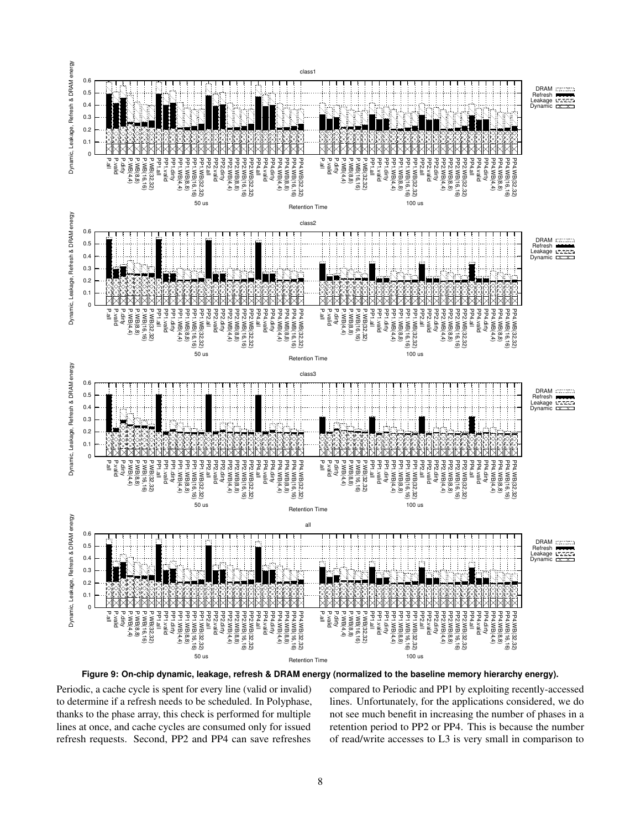

**Figure 9: On-chip dynamic, leakage, refresh & DRAM energy (normalized to the baseline memory hierarchy energy).**

Periodic, a cache cycle is spent for every line (valid or invalid) to determine if a refresh needs to be scheduled. In Polyphase, thanks to the phase array, this check is performed for multiple lines at once, and cache cycles are consumed only for issued refresh requests. Second, PP2 and PP4 can save refreshes compared to Periodic and PP1 by exploiting recently-accessed lines. Unfortunately, for the applications considered, we do not see much benefit in increasing the number of phases in a retention period to PP2 or PP4. This is because the number of read/write accesses to L3 is very small in comparison to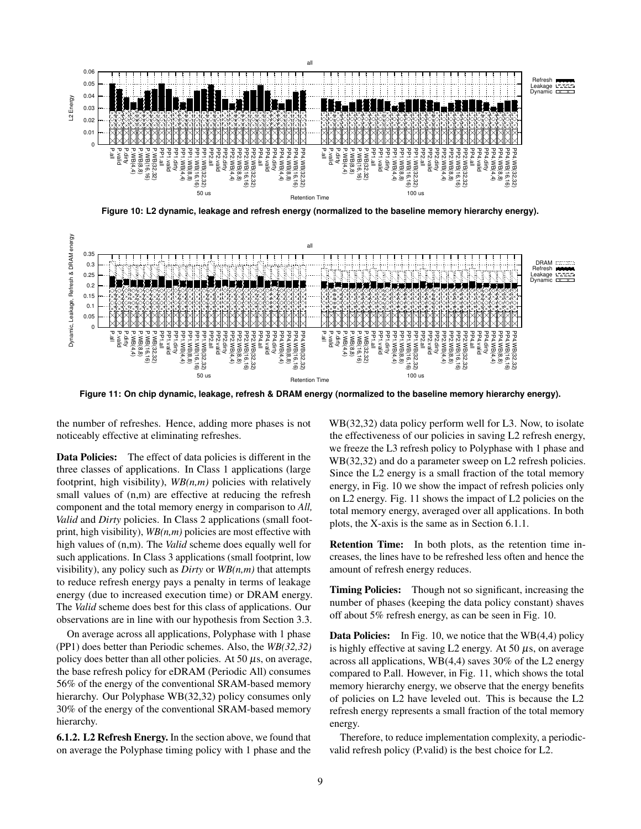

**Figure 10: L2 dynamic, leakage and refresh energy (normalized to the baseline memory hierarchy energy).**



Figure 11: On chip dynamic, leakage, refresh & DRAM energy (normalized to the baseline memory hierarchy energy).

the number of refreshes. Hence, adding more phases is not noticeably effective at eliminating refreshes.

**Data Policies:** The effect of data policies is different in the three classes of applications. In Class 1 applications (large footprint, high visibility), *WB(n,m)* policies with relatively small values of  $(n,m)$  are effective at reducing the refresh component and the total memory energy in comparison to *All, Valid* and *Dirty* policies. In Class 2 applications (small footprint, high visibility), *WB(n,m)* policies are most effective with high values of (n,m). The *Valid* scheme does equally well for such applications. In Class 3 applications (small footprint, low visibility), any policy such as *Dirty* or *WB(n,m)* that attempts to reduce refresh energy pays a penalty in terms of leakage energy (due to increased execution time) or DRAM energy. The *Valid* scheme does best for this class of applications. Our observations are in line with our hypothesis from Section 3.3.

On average across all applications, Polyphase with 1 phase (PP1) does better than Periodic schemes. Also, the *WB(32,32)* policy does better than all other policies. At 50  $\mu$ s, on average, the base refresh policy for eDRAM (Periodic All) consumes 56% of the energy of the conventional SRAM-based memory hierarchy. Our Polyphase WB(32,32) policy consumes only 30% of the energy of the conventional SRAM-based memory hierarchy.

6.1.2. L2 Refresh Energy. In the section above, we found that on average the Polyphase timing policy with 1 phase and the WB(32,32) data policy perform well for L3. Now, to isolate the effectiveness of our policies in saving L2 refresh energy, we freeze the L3 refresh policy to Polyphase with 1 phase and WB(32,32) and do a parameter sweep on L2 refresh policies. Since the L2 energy is a small fraction of the total memory energy, in Fig. 10 we show the impact of refresh policies only on L2 energy. Fig. 11 shows the impact of L2 policies on the total memory energy, averaged over all applications. In both plots, the X-axis is the same as in Section 6.1.1.

Retention Time: In both plots, as the retention time increases, the lines have to be refreshed less often and hence the amount of refresh energy reduces.

Timing Policies: Though not so significant, increasing the number of phases (keeping the data policy constant) shaves off about 5% refresh energy, as can be seen in Fig. 10.

**Data Policies:** In Fig. 10, we notice that the WB $(4,4)$  policy is highly effective at saving L2 energy. At 50  $\mu$ s, on average across all applications, WB(4,4) saves 30% of the L2 energy compared to P.all. However, in Fig. 11, which shows the total memory hierarchy energy, we observe that the energy benefits of policies on L2 have leveled out. This is because the L2 refresh energy represents a small fraction of the total memory energy.

Therefore, to reduce implementation complexity, a periodicvalid refresh policy (P.valid) is the best choice for L2.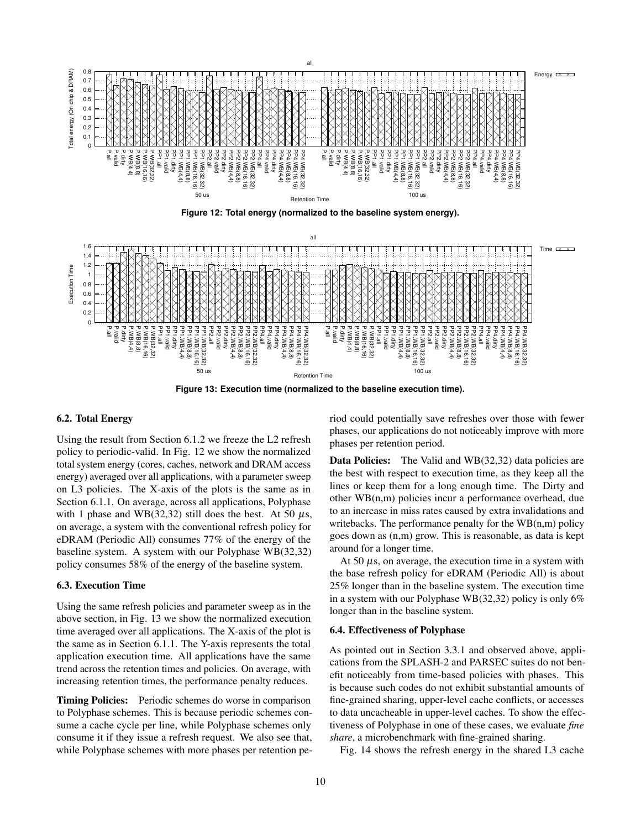

**Figure 12: Total energy (normalized to the baseline system energy).**



**Figure 13: Execution time (normalized to the baseline execution time).**

### 6.2. Total Energy

Using the result from Section 6.1.2 we freeze the L2 refresh policy to periodic-valid. In Fig. 12 we show the normalized total system energy (cores, caches, network and DRAM access energy) averaged over all applications, with a parameter sweep on L3 policies. The X-axis of the plots is the same as in Section 6.1.1. On average, across all applications, Polyphase with 1 phase and WB(32,32) still does the best. At 50  $\mu$ s, on average, a system with the conventional refresh policy for eDRAM (Periodic All) consumes 77% of the energy of the baseline system. A system with our Polyphase WB(32,32) policy consumes 58% of the energy of the baseline system.

### 6.3. Execution Time

Using the same refresh policies and parameter sweep as in the above section, in Fig. 13 we show the normalized execution time averaged over all applications. The X-axis of the plot is the same as in Section 6.1.1. The Y-axis represents the total application execution time. All applications have the same trend across the retention times and policies. On average, with increasing retention times, the performance penalty reduces.

Timing Policies: Periodic schemes do worse in comparison to Polyphase schemes. This is because periodic schemes consume a cache cycle per line, while Polyphase schemes only consume it if they issue a refresh request. We also see that, while Polyphase schemes with more phases per retention period could potentially save refreshes over those with fewer phases, our applications do not noticeably improve with more phases per retention period.

Data Policies: The Valid and WB(32,32) data policies are the best with respect to execution time, as they keep all the lines or keep them for a long enough time. The Dirty and other WB(n,m) policies incur a performance overhead, due to an increase in miss rates caused by extra invalidations and writebacks. The performance penalty for the  $WB(n,m)$  policy goes down as (n,m) grow. This is reasonable, as data is kept around for a longer time.

At 50  $\mu$ s, on average, the execution time in a system with the base refresh policy for eDRAM (Periodic All) is about 25% longer than in the baseline system. The execution time in a system with our Polyphase WB(32,32) policy is only 6% longer than in the baseline system.

#### 6.4. Effectiveness of Polyphase

As pointed out in Section 3.3.1 and observed above, applications from the SPLASH-2 and PARSEC suites do not benefit noticeably from time-based policies with phases. This is because such codes do not exhibit substantial amounts of fine-grained sharing, upper-level cache conflicts, or accesses to data uncacheable in upper-level caches. To show the effectiveness of Polyphase in one of these cases, we evaluate *fine share*, a microbenchmark with fine-grained sharing.

Fig. 14 shows the refresh energy in the shared L3 cache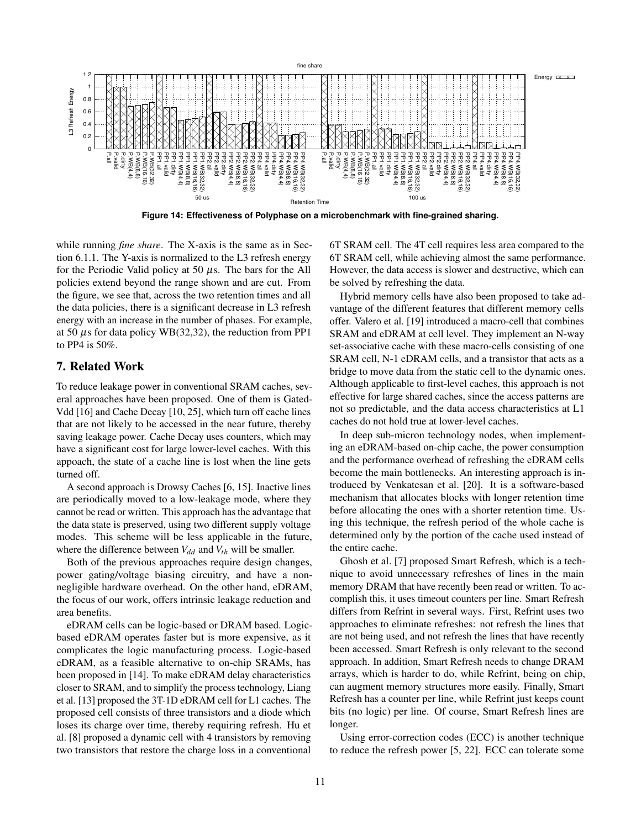

**Figure 14: Effectiveness of Polyphase on a microbenchmark with fine-grained sharing.**

while running *fine share*. The X-axis is the same as in Section 6.1.1. The Y-axis is normalized to the L3 refresh energy for the Periodic Valid policy at 50  $\mu$ s. The bars for the All policies extend beyond the range shown and are cut. From the figure, we see that, across the two retention times and all the data policies, there is a significant decrease in L3 refresh energy with an increase in the number of phases. For example, at 50  $\mu$ s for data policy WB(32,32), the reduction from PP1 to PP4 is 50%.

## 7. Related Work

To reduce leakage power in conventional SRAM caches, several approaches have been proposed. One of them is Gated-Vdd [16] and Cache Decay [10, 25], which turn off cache lines that are not likely to be accessed in the near future, thereby saving leakage power. Cache Decay uses counters, which may have a significant cost for large lower-level caches. With this appoach, the state of a cache line is lost when the line gets turned off.

A second approach is Drowsy Caches [6, 15]. Inactive lines are periodically moved to a low-leakage mode, where they cannot be read or written. This approach has the advantage that the data state is preserved, using two different supply voltage modes. This scheme will be less applicable in the future, where the difference between  $V_{dd}$  and  $V_{th}$  will be smaller.

Both of the previous approaches require design changes, power gating/voltage biasing circuitry, and have a nonnegligible hardware overhead. On the other hand, eDRAM, the focus of our work, offers intrinsic leakage reduction and area benefits.

eDRAM cells can be logic-based or DRAM based. Logicbased eDRAM operates faster but is more expensive, as it complicates the logic manufacturing process. Logic-based eDRAM, as a feasible alternative to on-chip SRAMs, has been proposed in [14]. To make eDRAM delay characteristics closer to SRAM, and to simplify the process technology, Liang et al. [13] proposed the 3T-1D eDRAM cell for L1 caches. The proposed cell consists of three transistors and a diode which loses its charge over time, thereby requiring refresh. Hu et al. [8] proposed a dynamic cell with 4 transistors by removing two transistors that restore the charge loss in a conventional

6T SRAM cell. The 4T cell requires less area compared to the 6T SRAM cell, while achieving almost the same performance. However, the data access is slower and destructive, which can be solved by refreshing the data.

Hybrid memory cells have also been proposed to take advantage of the different features that different memory cells offer. Valero et al. [19] introduced a macro-cell that combines SRAM and eDRAM at cell level. They implement an N-way set-associative cache with these macro-cells consisting of one SRAM cell, N-1 eDRAM cells, and a transistor that acts as a bridge to move data from the static cell to the dynamic ones. Although applicable to first-level caches, this approach is not effective for large shared caches, since the access patterns are not so predictable, and the data access characteristics at L1 caches do not hold true at lower-level caches.

In deep sub-micron technology nodes, when implementing an eDRAM-based on-chip cache, the power consumption and the performance overhead of refreshing the eDRAM cells become the main bottlenecks. An interesting approach is introduced by Venkatesan et al. [20]. It is a software-based mechanism that allocates blocks with longer retention time before allocating the ones with a shorter retention time. Using this technique, the refresh period of the whole cache is determined only by the portion of the cache used instead of the entire cache.

Ghosh et al. [7] proposed Smart Refresh, which is a technique to avoid unnecessary refreshes of lines in the main memory DRAM that have recently been read or written. To accomplish this, it uses timeout counters per line. Smart Refresh differs from Refrint in several ways. First, Refrint uses two approaches to eliminate refreshes: not refresh the lines that are not being used, and not refresh the lines that have recently been accessed. Smart Refresh is only relevant to the second approach. In addition, Smart Refresh needs to change DRAM arrays, which is harder to do, while Refrint, being on chip, can augment memory structures more easily. Finally, Smart Refresh has a counter per line, while Refrint just keeps count bits (no logic) per line. Of course, Smart Refresh lines are longer.

Using error-correction codes (ECC) is another technique to reduce the refresh power [5, 22]. ECC can tolerate some